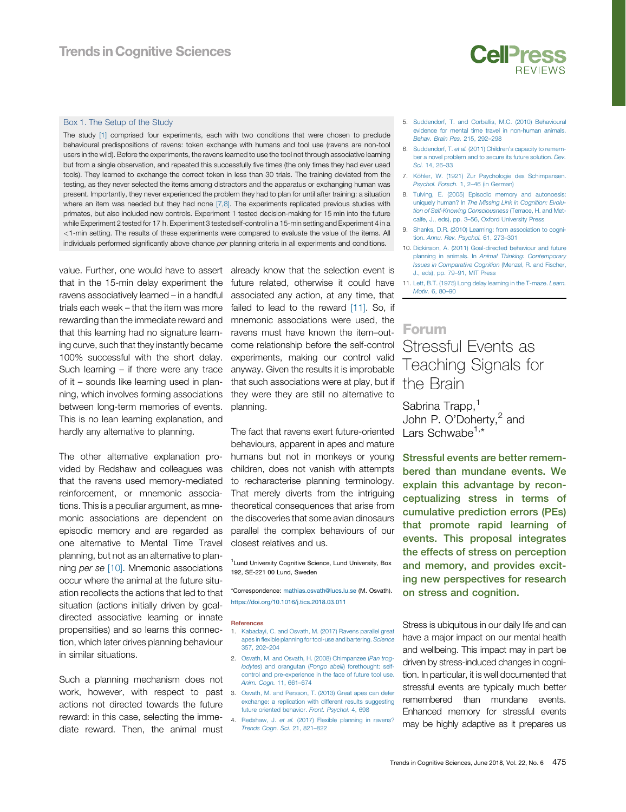## <span id="page-0-0"></span>Box 1. The Setup of the Study

The study [1] comprised four experiments, each with two conditions that were chosen to preclude behavioural predispositions of ravens: token exchange with humans and tool use (ravens are non-tool users in the wild). Before the experiments, the ravens learned to use the tool not through associative learning but from a single observation, and repeated this successfully five times (the only times they had ever used tools). They learned to exchange the correct token in less than 30 trials. The training deviated from the testing, as they never selected the items among distractors and the apparatus or exchanging human was present. Importantly, they never experienced the problem they had to plan for until after training: a situation where an item was needed but they had none [7,8]. The experiments replicated previous studies with primates, but also included new controls. Experiment 1 tested decision-making for 15 min into the future while Experiment 2 tested for 17 h. Experiment 3 tested self-control in a 15-min setting and Experiment 4 in a <1-min setting. The results of these experiments were compared to evaluate the value of the items. All individuals performed significantly above chance per planning criteria in all experiments and conditions.

value. Further, one would have to assert that in the 15-min delay experiment the ravens associatively learned – in a handful trials each week – that the item was more rewarding than the immediate reward and that this learning had no signature learning curve, such that they instantly became 100% successful with the short delay. Such learning – if there were any trace of it – sounds like learning used in planning, which involves forming associations between long-term memories of events. This is no lean learning explanation, and hardly any alternative to planning.

The other alternative explanation provided by Redshaw and colleagues was that the ravens used memory-mediated reinforcement, or mnemonic associations. This is a peculiar argument, as mnemonic associations are dependent on episodic memory and are regarded as one alternative to Mental Time Travel planning, but not as an alternative to planning per se [10]. Mnemonic associations occur where the animal at the future situation recollects the actions that led to that situation (actions initially driven by goaldirected associative learning or innate propensities) and so learns this connection, which later drives planning behaviour in similar situations.

Such a planning mechanism does not work, however, with respect to past actions not directed towards the future reward: in this case, selecting the immediate reward. Then, the animal must

already know that the selection event is future related, otherwise it could have associated any action, at any time, that failed to lead to the reward [11]. So, if mnemonic associations were used, the ravens must have known the item–outcome relationship before the self-control experiments, making our control valid anyway. Given the results it is improbable that such associations were at play, but if they were they are still no alternative to planning.

The fact that ravens exert future-oriented behaviours, apparent in apes and mature humans but not in monkeys or young children, does not vanish with attempts to recharacterise planning terminology. That merely diverts from the intriguing theoretical consequences that arise from the discoveries that some avian dinosaurs parallel the complex behaviours of our closest relatives and us.

<sup>1</sup> Lund University Cognitive Science, Lund University, Box 192, SE-221 00 Lund, Sweden

\*Correspondence: [mathias.osvath@lucs.lu.se](mailto:mathias.osvath@lucs.lu.se) (M. Osvath). <https://doi.org/10.1016/j.tics.2018.03.011>

#### References

- 1. [Kabadayi, C. and Osvath, M. \(2017\) Ravens parallel great](http://refhub.elsevier.com/S1364-6613(18)30072-X/sbref0005) apes in fl[exible planning for tool-use and bartering.](http://refhub.elsevier.com/S1364-6613(18)30072-X/sbref0005) Science [357, 202](http://refhub.elsevier.com/S1364-6613(18)30072-X/sbref0005)–204
- 2. [Osvath, M. and Osvath, H. \(2008\) Chimpanzee \(](http://refhub.elsevier.com/S1364-6613(18)30072-X/sbref0010)Pan trog-lodytes) and orangutan (Pongo abelii[\) forethought: self](http://refhub.elsevier.com/S1364-6613(18)30072-X/sbref0010)[control and pre-experience in the face of future tool use.](http://refhub.elsevier.com/S1364-6613(18)30072-X/sbref0010) [Anim. Cogn.](http://refhub.elsevier.com/S1364-6613(18)30072-X/sbref0010) 11, 661–674
- 3. [Osvath, M. and Persson, T. \(2013\) Great apes can defer](http://refhub.elsevier.com/S1364-6613(18)30072-X/sbref0015) [exchange: a replication with different results suggesting](http://refhub.elsevier.com/S1364-6613(18)30072-X/sbref0015) [future oriented behavior.](http://refhub.elsevier.com/S1364-6613(18)30072-X/sbref0015) Front. Psychol. 4, 698
- 4. Redshaw, J. et al. [\(2017\) Flexible planning in ravens?](http://refhub.elsevier.com/S1364-6613(18)30072-X/sbref0020) [Trends Cogn. Sci.](http://refhub.elsevier.com/S1364-6613(18)30072-X/sbref0020) 21, 821–822
- 5. [Suddendorf, T. and Corballis, M.C. \(2010\) Behavioural](http://refhub.elsevier.com/S1364-6613(18)30072-X/sbref0025) [evidence for mental time travel in non-human animals.](http://refhub.elsevier.com/S1364-6613(18)30072-X/sbref0025) [Behav. Brain Res.](http://refhub.elsevier.com/S1364-6613(18)30072-X/sbref0025) 215, 292–298
- 6. Suddendorf, T. et al. (2011) Children'[s capacity to remem](http://refhub.elsevier.com/S1364-6613(18)30072-X/sbref0030)[ber a novel problem and to secure its future solution.](http://refhub.elsevier.com/S1364-6613(18)30072-X/sbref0030) Dev. Sci. [14, 26](http://refhub.elsevier.com/S1364-6613(18)30072-X/sbref0030)–33
- 7. [Köhler, W. \(1921\) Zur Psychologie des Schimpansen.](http://refhub.elsevier.com/S1364-6613(18)30072-X/sbref0035) [Psychol. Forsch.](http://refhub.elsevier.com/S1364-6613(18)30072-X/sbref0035) 1, 2–46 (in German)
- 8. [Tulving, E. \(2005\) Episodic memory and autonoesis:](http://refhub.elsevier.com/S1364-6613(18)30072-X/sbref0040) uniquely human? In [The Missing Link in Cognition: Evolu](http://refhub.elsevier.com/S1364-6613(18)30072-X/sbref0040)[tion of Self-Knowing Consciousness](http://refhub.elsevier.com/S1364-6613(18)30072-X/sbref0040) (Terrace, H. and Metcalfe, J., eds), pp. 3–56, Oxford University Press
- 9. [Shanks, D.R. \(2010\) Learning: from association to cogni](http://refhub.elsevier.com/S1364-6613(18)30072-X/sbref0045)tion. [Annu. Rev. Psychol.](http://refhub.elsevier.com/S1364-6613(18)30072-X/sbref0045) 61, 273–301
- 10. [Dickinson, A. \(2011\) Goal-directed behaviour and future](http://refhub.elsevier.com/S1364-6613(18)30072-X/sbref0050) planning in animals. In [Animal Thinking: Contemporary](http://refhub.elsevier.com/S1364-6613(18)30072-X/sbref0050) [Issues in Comparative Cognition](http://refhub.elsevier.com/S1364-6613(18)30072-X/sbref0050) (Menzel, R. and Fischer, J., eds), pp. 79–91, MIT Press

11. [Lett, B.T. \(1975\) Long delay learning in the T-maze.](http://refhub.elsevier.com/S1364-6613(18)30072-X/sbref0055) Learn. [Motiv.](http://refhub.elsevier.com/S1364-6613(18)30072-X/sbref0055) 6, 80–90

## Forum

# Stressful Events as<br>Teaching Signals for the Brain

Sabrina Trapp,<sup>[1](#page--1-0)</sup> John P. O'Doherty,<sup>2</sup> [and](#page--1-0) Lars Schwabe<sup>[1,\\*](#page--1-0)</sup>

Stressful events are better remembered than mundane events. We explain this advantage by reconceptualizing stress in terms of cumulative prediction errors (PEs) that promote rapid learning of events. This proposal integrates the effects of stress on perception and memory, and provides exciting new perspectives for research on stress and cognition.

Stress is ubiquitous in our daily life and can have a major impact on our mental health and wellbeing. This impact may in part be driven by stress-induced changes in cognition. In particular, it is well documented that stressful events are typically much better remembered than mundane events. Enhanced memory for stressful events may be highly adaptive as it prepares us

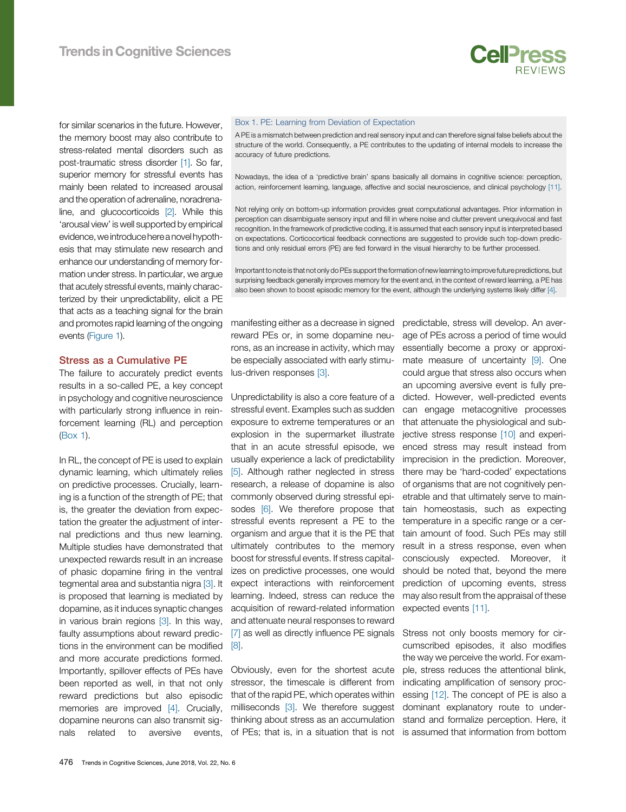

for similar scenarios in the future. However, the memory boost may also contribute to stress-related mental disorders such as post-traumatic stress disorder [\[1\]](#page-3-0). So far, superior memory for stressful events has mainly been related to increased arousal and the operation of adrenaline, noradrenaline, and glucocorticoids [\[2\].](#page-3-0) While this 'arousal view' is well supported by empirical evidence,we introduce here a novel hypothesis that may stimulate new research and enhance our understanding of memory formation under stress. In particular, we argue that acutely stressful events, mainly characterized by their unpredictability, elicit a PE that acts as a teaching signal for the brain and promotes rapid learning of the ongoing events [\(Figure 1](#page-2-0)).

## Stress as a Cumulative PE

The failure to accurately predict events results in a so-called PE, a key concept in psychology and cognitive neuroscience with particularly strong influence in reinforcement learning (RL) and perception [\(Box 1\)](#page-0-0).

In RL, the concept of PE is used to explain dynamic learning, which ultimately relies on predictive processes. Crucially, learning is a function of the strength of PE; that is, the greater the deviation from expectation the greater the adjustment of internal predictions and thus new learning. Multiple studies have demonstrated that unexpected rewards result in an increase of phasic dopamine firing in the ventral tegmental area and substantia nigra [\[3\]](#page-3-0). It is proposed that learning is mediated by dopamine, as it induces synaptic changes in various brain regions [\[3\].](#page-3-0) In this way, faulty assumptions about reward predictions in the environment can be modified and more accurate predictions formed. Importantly, spillover effects of PEs have been reported as well, in that not only reward predictions but also episodic memories are improved [\[4\]](#page-3-0). Crucially, dopamine neurons can also transmit signals related to aversive events,

### Box 1. PE: Learning from Deviation of Expectation

A PE is a mismatch between prediction and real sensory input and can therefore signal false beliefs about the structure of the world. Consequently, a PE contributes to the updating of internal models to increase the accuracy of future predictions.

Nowadays, the idea of a 'predictive brain' spans basically all domains in cognitive science: perception, action, reinforcement learning, language, affective and social neuroscience, and clinical psychology [11].

Not relying only on bottom-up information provides great computational advantages. Prior information in perception can disambiguate sensory input and fill in where noise and clutter prevent unequivocal and fast recognition. In the framework of predictive coding, it is assumed that each sensory input is interpreted based on expectations. Corticocortical feedback connections are suggested to provide such top-down predictions and only residual errors (PE) are fed forward in the visual hierarchy to be further processed.

Importantto note isthat not only do PEs support the formation of new learningto improve future predictions, but surprising feedback generally improves memory for the event and, in the context of reward learning, a PE has also been shown to boost episodic memory for the event, although the underlying systems likely differ [4].

manifesting either as a decrease in signed reward PEs or, in some dopamine neurons, as an increase in activity, which may be especially associated with early stimulus-driven responses [\[3\]](#page-3-0).

Unpredictability is also a core feature of a dicted. However, well-predicted events stressful event. Examples such as sudden exposure to extreme temperatures or an explosion in the supermarket illustrate that in an acute stressful episode, we usually experience a lack of predictability [\[5\].](#page-3-0) Although rather neglected in stress research, a release of dopamine is also commonly observed during stressful epi-sodes [\[6\]](#page-3-0). We therefore propose that stressful events represent a PE to the organism and argue that it is the PE that ultimately contributes to the memory boost for stressful events. If stress capitalizes on predictive processes, one would expect interactions with reinforcement learning. Indeed, stress can reduce the acquisition of reward-related information and attenuate neural responses to reward [\[7\]](#page-3-0) as well as directly influence PE signals [\[8\].](#page-3-0)

Obviously, even for the shortest acute stressor, the timescale is different from that of the rapid PE, which operates within milliseconds [\[3\]](#page-3-0). We therefore suggest thinking about stress as an accumulation predictable, stress will develop. An average of PEs across a period of time would essentially become a proxy or approximate measure of uncertainty [\[9\].](#page-3-0) One could argue that stress also occurs when an upcoming aversive event is fully precan engage metacognitive processes that attenuate the physiological and subjective stress response [\[10\]](#page-3-0) and experienced stress may result instead from imprecision in the prediction. Moreover, there may be 'hard-coded' expectations of organisms that are not cognitively penetrable and that ultimately serve to maintain homeostasis, such as expecting temperature in a specific range or a certain amount of food. Such PEs may still result in a stress response, even when consciously expected. Moreover, it should be noted that, beyond the mere prediction of upcoming events, stress may also result from the appraisal of these expected events [\[11\].](#page-3-0)

of PEs; that is, in a situation that is not is assumed that information from bottom Stress not only boosts memory for circumscribed episodes, it also modifies the way we perceive the world. For example, stress reduces the attentional blink, indicating amplification of sensory processing [\[12\]](#page-3-0). The concept of PE is also a dominant explanatory route to understand and formalize perception. Here, it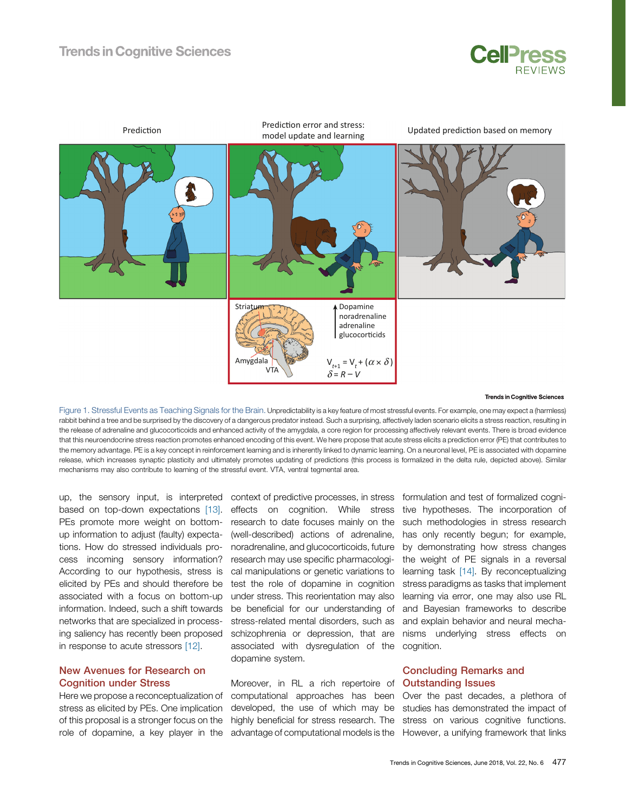

<span id="page-2-0"></span>

#### **Trends in Cognitive Sciences**

Figure 1. Stressful Events as Teaching Signals for the Brain. Unpredictability is a key feature of most stressful events. For example, one may expect a (harmless) rabbit behind a tree and be surprised by the discovery of a dangerous predator instead. Such a surprising, affectively laden scenario elicits a stress reaction, resulting in the release of adrenaline and glucocorticoids and enhanced activity of the amygdala, a core region for processing affectively relevant events. There is broad evidence that this neuroendocrine stress reaction promotes enhanced encoding of this event. We here propose that acute stress elicits a prediction error (PE) that contributes to the memory advantage. PE is a key concept in reinforcement learning and is inherently linked to dynamic learning. On a neuronal level, PE is associated with dopamine release, which increases synaptic plasticity and ultimately promotes updating of predictions (this process is formalized in the delta rule, depicted above). Similar mechanisms may also contribute to learning of the stressful event. VTA, ventral tegmental area.

up, the sensory input, is interpreted context of predictive processes, in stress based on top-down expectations [\[13\]](#page-3-0). PEs promote more weight on bottomup information to adjust (faulty) expectations. How do stressed individuals process incoming sensory information? According to our hypothesis, stress is elicited by PEs and should therefore be associated with a focus on bottom-up information. Indeed, such a shift towards networks that are specialized in processing saliency has recently been proposed in response to acute stressors [\[12\].](#page-3-0)

## New Avenues for Research on Cognition under Stress

Here we propose a reconceptualization of stress as elicited by PEs. One implication of this proposal is a stronger focus on the role of dopamine, a key player in the

effects on cognition. While stress research to date focuses mainly on the (well-described) actions of adrenaline, noradrenaline, and glucocorticoids, future research may use specific pharmacological manipulations or genetic variations to test the role of dopamine in cognition under stress. This reorientation may also be beneficial for our understanding of stress-related mental disorders, such as schizophrenia or depression, that are associated with dysregulation of the cognition. dopamine system.

Moreover, in RL a rich repertoire of computational approaches has been developed, the use of which may be highly beneficial for stress research. The

formulation and test of formalized cognitive hypotheses. The incorporation of such methodologies in stress research has only recently begun; for example, by demonstrating how stress changes the weight of PE signals in a reversal learning task [\[14\]](#page-3-0). By reconceptualizing stress paradigms as tasks that implement learning via error, one may also use RL and Bayesian frameworks to describe and explain behavior and neural mechanisms underlying stress effects on

## Concluding Remarks and Outstanding Issues

advantage of computational models is the However, a unifying framework that links Over the past decades, a plethora of studies has demonstrated the impact of stress on various cognitive functions.